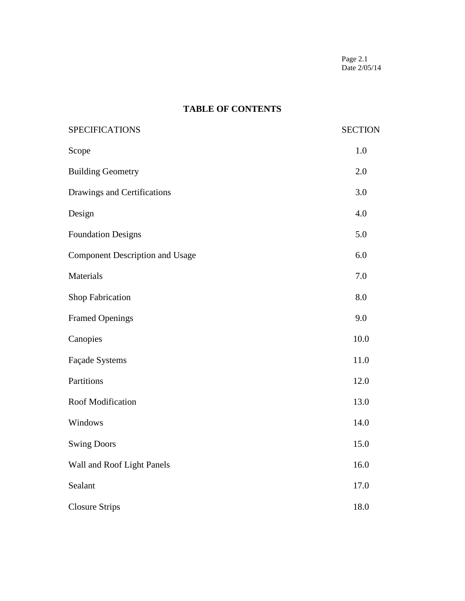Page 2.1 Date 2/05/14

# **TABLE OF CONTENTS**

| <b>SPECIFICATIONS</b>                  | <b>SECTION</b> |
|----------------------------------------|----------------|
| Scope                                  | 1.0            |
| <b>Building Geometry</b>               | 2.0            |
| Drawings and Certifications            | 3.0            |
| Design                                 | 4.0            |
| <b>Foundation Designs</b>              | 5.0            |
| <b>Component Description and Usage</b> | 6.0            |
| Materials                              | 7.0            |
| Shop Fabrication                       | 8.0            |
| <b>Framed Openings</b>                 | 9.0            |
| Canopies                               | 10.0           |
| Façade Systems                         | 11.0           |
| Partitions                             | 12.0           |
| <b>Roof Modification</b>               | 13.0           |
| Windows                                | 14.0           |
| <b>Swing Doors</b>                     | 15.0           |
| Wall and Roof Light Panels             | 16.0           |
| Sealant                                | 17.0           |
| <b>Closure Strips</b>                  | 18.0           |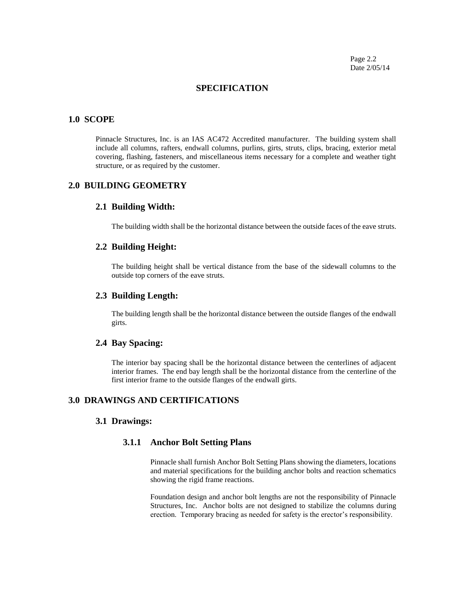Page 2.2 Date 2/05/14

## **SPECIFICATION**

#### **1.0 SCOPE**

Pinnacle Structures, Inc. is an IAS AC472 Accredited manufacturer. The building system shall include all columns, rafters, endwall columns, purlins, girts, struts, clips, bracing, exterior metal covering, flashing, fasteners, and miscellaneous items necessary for a complete and weather tight structure, or as required by the customer.

## **2.0 BUILDING GEOMETRY**

#### **2.1 Building Width:**

The building width shall be the horizontal distance between the outside faces of the eave struts.

## **2.2 Building Height:**

The building height shall be vertical distance from the base of the sidewall columns to the outside top corners of the eave struts.

#### **2.3 Building Length:**

The building length shall be the horizontal distance between the outside flanges of the endwall girts.

### **2.4 Bay Spacing:**

The interior bay spacing shall be the horizontal distance between the centerlines of adjacent interior frames. The end bay length shall be the horizontal distance from the centerline of the first interior frame to the outside flanges of the endwall girts.

## **3.0 DRAWINGS AND CERTIFICATIONS**

#### **3.1 Drawings:**

## **3.1.1 Anchor Bolt Setting Plans**

Pinnacle shall furnish Anchor Bolt Setting Plans showing the diameters, locations and material specifications for the building anchor bolts and reaction schematics showing the rigid frame reactions.

Foundation design and anchor bolt lengths are not the responsibility of Pinnacle Structures, Inc. Anchor bolts are not designed to stabilize the columns during erection. Temporary bracing as needed for safety is the erector's responsibility.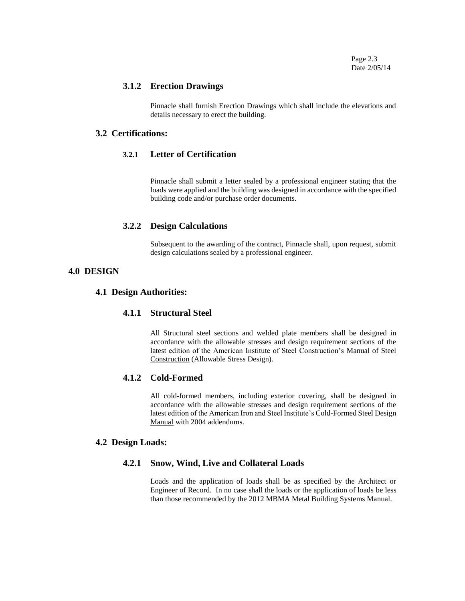Page 2.3 Date 2/05/14

#### **3.1.2 Erection Drawings**

Pinnacle shall furnish Erection Drawings which shall include the elevations and details necessary to erect the building.

## **3.2 Certifications:**

## **3.2.1 Letter of Certification**

Pinnacle shall submit a letter sealed by a professional engineer stating that the loads were applied and the building was designed in accordance with the specified building code and/or purchase order documents.

### **3.2.2 Design Calculations**

Subsequent to the awarding of the contract, Pinnacle shall, upon request, submit design calculations sealed by a professional engineer.

## **4.0 DESIGN**

## **4.1 Design Authorities:**

## **4.1.1 Structural Steel**

All Structural steel sections and welded plate members shall be designed in accordance with the allowable stresses and design requirement sections of the latest edition of the American Institute of Steel Construction's Manual of Steel Construction (Allowable Stress Design).

## **4.1.2 Cold-Formed**

All cold-formed members, including exterior covering, shall be designed in accordance with the allowable stresses and design requirement sections of the latest edition of the American Iron and Steel Institute's Cold-Formed Steel Design Manual with 2004 addendums.

#### **4.2 Design Loads:**

## **4.2.1 Snow, Wind, Live and Collateral Loads**

Loads and the application of loads shall be as specified by the Architect or Engineer of Record. In no case shall the loads or the application of loads be less than those recommended by the 2012 MBMA Metal Building Systems Manual.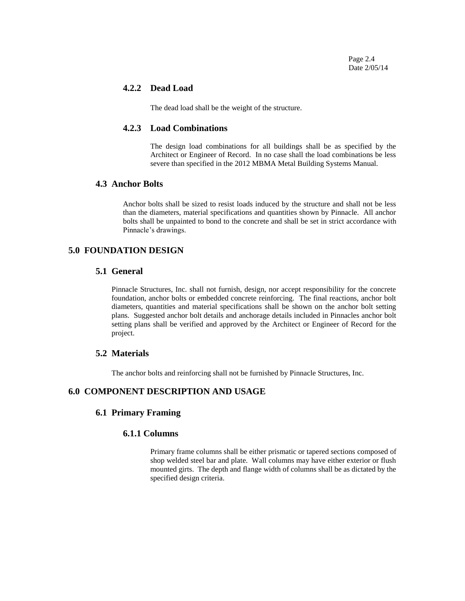Page 2.4 Date 2/05/14

## **4.2.2 Dead Load**

The dead load shall be the weight of the structure.

## **4.2.3 Load Combinations**

The design load combinations for all buildings shall be as specified by the Architect or Engineer of Record. In no case shall the load combinations be less severe than specified in the 2012 MBMA Metal Building Systems Manual.

## **4.3 Anchor Bolts**

Anchor bolts shall be sized to resist loads induced by the structure and shall not be less than the diameters, material specifications and quantities shown by Pinnacle. All anchor bolts shall be unpainted to bond to the concrete and shall be set in strict accordance with Pinnacle's drawings.

## **5.0 FOUNDATION DESIGN**

## **5.1 General**

Pinnacle Structures, Inc. shall not furnish, design, nor accept responsibility for the concrete foundation, anchor bolts or embedded concrete reinforcing. The final reactions, anchor bolt diameters, quantities and material specifications shall be shown on the anchor bolt setting plans. Suggested anchor bolt details and anchorage details included in Pinnacles anchor bolt setting plans shall be verified and approved by the Architect or Engineer of Record for the project.

## **5.2 Materials**

The anchor bolts and reinforcing shall not be furnished by Pinnacle Structures, Inc.

## **6.0 COMPONENT DESCRIPTION AND USAGE**

## **6.1 Primary Framing**

## **6.1.1 Columns**

Primary frame columns shall be either prismatic or tapered sections composed of shop welded steel bar and plate. Wall columns may have either exterior or flush mounted girts. The depth and flange width of columns shall be as dictated by the specified design criteria.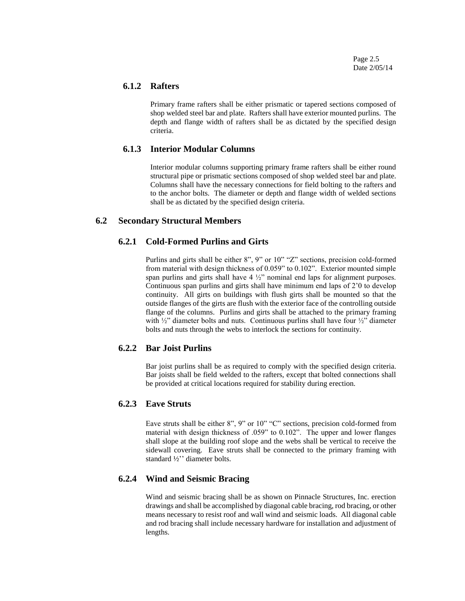Page 2.5 Date 2/05/14

#### **6.1.2 Rafters**

Primary frame rafters shall be either prismatic or tapered sections composed of shop welded steel bar and plate. Rafters shall have exterior mounted purlins. The depth and flange width of rafters shall be as dictated by the specified design criteria.

#### **6.1.3 Interior Modular Columns**

Interior modular columns supporting primary frame rafters shall be either round structural pipe or prismatic sections composed of shop welded steel bar and plate. Columns shall have the necessary connections for field bolting to the rafters and to the anchor bolts. The diameter or depth and flange width of welded sections shall be as dictated by the specified design criteria.

### **6.2 Secondary Structural Members**

## **6.2.1 Cold-Formed Purlins and Girts**

Purlins and girts shall be either 8", 9" or 10" "Z" sections, precision cold-formed from material with design thickness of 0.059" to 0.102". Exterior mounted simple span purlins and girts shall have  $4\frac{1}{2}$  nominal end laps for alignment purposes. Continuous span purlins and girts shall have minimum end laps of 2'0 to develop continuity. All girts on buildings with flush girts shall be mounted so that the outside flanges of the girts are flush with the exterior face of the controlling outside flange of the columns. Purlins and girts shall be attached to the primary framing with  $\frac{1}{2}$ " diameter bolts and nuts. Continuous purlins shall have four  $\frac{1}{2}$ " diameter bolts and nuts through the webs to interlock the sections for continuity.

## **6.2.2 Bar Joist Purlins**

Bar joist purlins shall be as required to comply with the specified design criteria. Bar joists shall be field welded to the rafters, except that bolted connections shall be provided at critical locations required for stability during erection.

#### **6.2.3 Eave Struts**

Eave struts shall be either 8", 9" or 10" "C" sections, precision cold-formed from material with design thickness of .059" to 0.102". The upper and lower flanges shall slope at the building roof slope and the webs shall be vertical to receive the sidewall covering. Eave struts shall be connected to the primary framing with standard ½'' diameter bolts.

## **6.2.4 Wind and Seismic Bracing**

Wind and seismic bracing shall be as shown on Pinnacle Structures, Inc. erection drawings and shall be accomplished by diagonal cable bracing, rod bracing, or other means necessary to resist roof and wall wind and seismic loads. All diagonal cable and rod bracing shall include necessary hardware for installation and adjustment of lengths.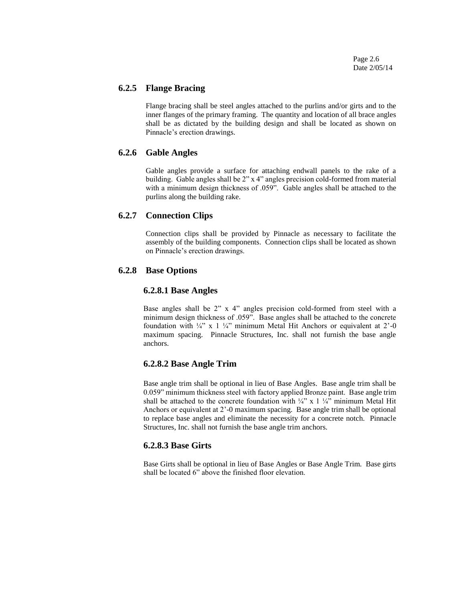Page 2.6 Date 2/05/14

#### **6.2.5 Flange Bracing**

Flange bracing shall be steel angles attached to the purlins and/or girts and to the inner flanges of the primary framing. The quantity and location of all brace angles shall be as dictated by the building design and shall be located as shown on Pinnacle's erection drawings.

#### **6.2.6 Gable Angles**

Gable angles provide a surface for attaching endwall panels to the rake of a building. Gable angles shall be 2" x 4" angles precision cold-formed from material with a minimum design thickness of .059". Gable angles shall be attached to the purlins along the building rake.

#### **6.2.7 Connection Clips**

Connection clips shall be provided by Pinnacle as necessary to facilitate the assembly of the building components. Connection clips shall be located as shown on Pinnacle's erection drawings.

## **6.2.8 Base Options**

#### **6.2.8.1 Base Angles**

Base angles shall be 2" x 4" angles precision cold-formed from steel with a minimum design thickness of .059". Base angles shall be attached to the concrete foundation with  $\frac{1}{4}$ " x 1  $\frac{1}{4}$ " minimum Metal Hit Anchors or equivalent at 2'-0 maximum spacing. Pinnacle Structures, Inc. shall not furnish the base angle anchors.

#### **6.2.8.2 Base Angle Trim**

Base angle trim shall be optional in lieu of Base Angles. Base angle trim shall be 0.059" minimum thickness steel with factory applied Bronze paint. Base angle trim shall be attached to the concrete foundation with  $\frac{1}{4}$ " x 1  $\frac{1}{4}$ " minimum Metal Hit Anchors or equivalent at 2'-0 maximum spacing. Base angle trim shall be optional to replace base angles and eliminate the necessity for a concrete notch. Pinnacle Structures, Inc. shall not furnish the base angle trim anchors.

#### **6.2.8.3 Base Girts**

Base Girts shall be optional in lieu of Base Angles or Base Angle Trim. Base girts shall be located 6" above the finished floor elevation.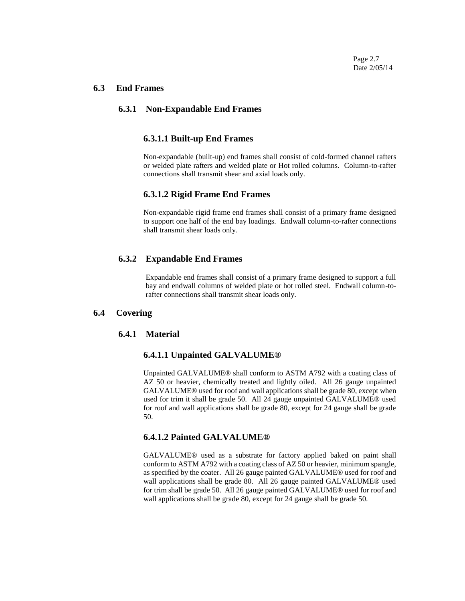Page 2.7 Date 2/05/14

#### **6.3 End Frames**

## **6.3.1 Non-Expandable End Frames**

#### **6.3.1.1 Built-up End Frames**

Non-expandable (built-up) end frames shall consist of cold-formed channel rafters or welded plate rafters and welded plate or Hot rolled columns. Column-to-rafter connections shall transmit shear and axial loads only.

#### **6.3.1.2 Rigid Frame End Frames**

Non-expandable rigid frame end frames shall consist of a primary frame designed to support one half of the end bay loadings. Endwall column-to-rafter connections shall transmit shear loads only.

## **6.3.2 Expandable End Frames**

Expandable end frames shall consist of a primary frame designed to support a full bay and endwall columns of welded plate or hot rolled steel. Endwall column-torafter connections shall transmit shear loads only.

### **6.4 Covering**

## **6.4.1 Material**

#### **6.4.1.1 Unpainted GALVALUME®**

Unpainted GALVALUME® shall conform to ASTM A792 with a coating class of AZ 50 or heavier, chemically treated and lightly oiled. All 26 gauge unpainted GALVALUME® used for roof and wall applications shall be grade 80, except when used for trim it shall be grade 50. All 24 gauge unpainted GALVALUME® used for roof and wall applications shall be grade 80, except for 24 gauge shall be grade 50.

#### **6.4.1.2 Painted GALVALUME®**

GALVALUME® used as a substrate for factory applied baked on paint shall conform to ASTM A792 with a coating class of AZ 50 or heavier, minimum spangle, as specified by the coater. All 26 gauge painted GALVALUME® used for roof and wall applications shall be grade 80. All 26 gauge painted GALVALUME® used for trim shall be grade 50. All 26 gauge painted GALVALUME® used for roof and wall applications shall be grade 80, except for 24 gauge shall be grade 50.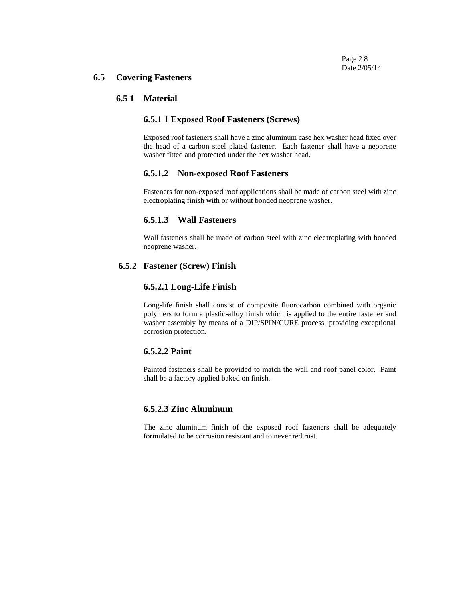#### **6.5 Covering Fasteners**

#### **6.5 1 Material**

#### **6.5.1 1 Exposed Roof Fasteners (Screws)**

Exposed roof fasteners shall have a zinc aluminum case hex washer head fixed over the head of a carbon steel plated fastener. Each fastener shall have a neoprene washer fitted and protected under the hex washer head.

#### **6.5.1.2 Non-exposed Roof Fasteners**

Fasteners for non-exposed roof applications shall be made of carbon steel with zinc electroplating finish with or without bonded neoprene washer.

### **6.5.1.3 Wall Fasteners**

Wall fasteners shall be made of carbon steel with zinc electroplating with bonded neoprene washer.

### **6.5.2 Fastener (Screw) Finish**

### **6.5.2.1 Long-Life Finish**

Long-life finish shall consist of composite fluorocarbon combined with organic polymers to form a plastic-alloy finish which is applied to the entire fastener and washer assembly by means of a DIP/SPIN/CURE process, providing exceptional corrosion protection.

#### **6.5.2.2 Paint**

Painted fasteners shall be provided to match the wall and roof panel color. Paint shall be a factory applied baked on finish.

## **6.5.2.3 Zinc Aluminum**

The zinc aluminum finish of the exposed roof fasteners shall be adequately formulated to be corrosion resistant and to never red rust.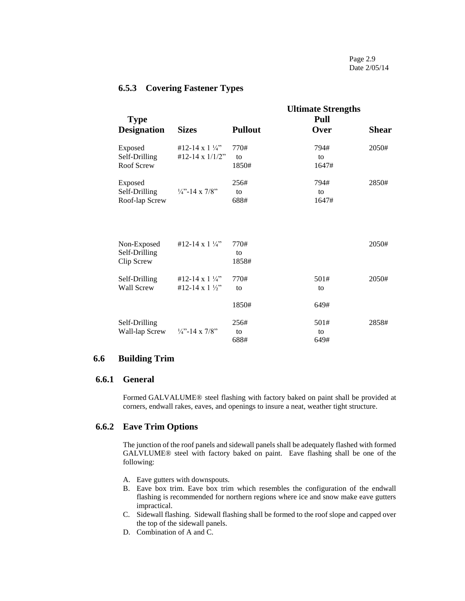## **6.5.3 Covering Fastener Types**

| <b>Type</b>                                |                                       |                     | <b>Ultimate Strengths</b><br>Pull |              |
|--------------------------------------------|---------------------------------------|---------------------|-----------------------------------|--------------|
| <b>Designation</b>                         | <b>Sizes</b>                          | <b>Pullout</b>      | Over                              | <b>Shear</b> |
| Exposed                                    | #12-14 x 1 $\frac{1}{4}$ "            | 770#                | 794#                              | 2050#        |
| Self-Drilling<br>Roof Screw                | #12-14 x 1/1/2"                       | to<br>1850#         | to<br>1647#                       |              |
| Exposed                                    |                                       | 256#                | 794#                              | 2850#        |
| Self-Drilling<br>Roof-lap Screw            | $\frac{1}{4}$ – 14 x 7/8 <sup>"</sup> | to<br>688#          | to<br>1647#                       |              |
|                                            |                                       |                     |                                   |              |
| Non-Exposed<br>Self-Drilling<br>Clip Screw | #12-14 x $1\frac{1}{4}$               | 770#<br>to<br>1858# |                                   | 2050#        |
| Self-Drilling                              | #12-14 x 1 $\frac{1}{4}$              | 770#                | 501#                              | 2050#        |
| Wall Screw                                 | #12-14 x 1 $\frac{1}{2}$ "            | to                  | to                                |              |
|                                            |                                       | 1850#               | 649#                              |              |
| Self-Drilling                              |                                       | 256#                | 501#                              | 2858#        |
| Wall-lap Screw                             | $\frac{1}{4}$ – 14 x 7/8"             | to<br>688#          | to<br>649#                        |              |

## **6.6 Building Trim**

## **6.6.1 General**

Formed GALVALUME® steel flashing with factory baked on paint shall be provided at corners, endwall rakes, eaves, and openings to insure a neat, weather tight structure.

## **6.6.2 Eave Trim Options**

The junction of the roof panels and sidewall panels shall be adequately flashed with formed GALVLUME® steel with factory baked on paint. Eave flashing shall be one of the following:

- A. Eave gutters with downspouts.
- B. Eave box trim. Eave box trim which resembles the configuration of the endwall flashing is recommended for northern regions where ice and snow make eave gutters impractical.
- C. Sidewall flashing. Sidewall flashing shall be formed to the roof slope and capped over the top of the sidewall panels.
- D. Combination of A and C.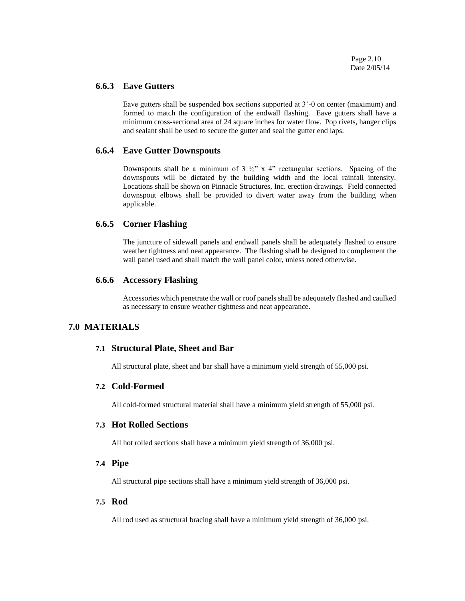Page 2.10 Date 2/05/14

#### **6.6.3 Eave Gutters**

Eave gutters shall be suspended box sections supported at 3'-0 on center (maximum) and formed to match the configuration of the endwall flashing. Eave gutters shall have a minimum cross-sectional area of 24 square inches for water flow. Pop rivets, hanger clips and sealant shall be used to secure the gutter and seal the gutter end laps.

### **6.6.4 Eave Gutter Downspouts**

Downspouts shall be a minimum of  $3\frac{1}{2}$ " x 4" rectangular sections. Spacing of the downspouts will be dictated by the building width and the local rainfall intensity. Locations shall be shown on Pinnacle Structures, Inc. erection drawings. Field connected downspout elbows shall be provided to divert water away from the building when applicable.

#### **6.6.5 Corner Flashing**

The juncture of sidewall panels and endwall panels shall be adequately flashed to ensure weather tightness and neat appearance. The flashing shall be designed to complement the wall panel used and shall match the wall panel color, unless noted otherwise.

## **6.6.6 Accessory Flashing**

Accessories which penetrate the wall or roof panels shall be adequately flashed and caulked as necessary to ensure weather tightness and neat appearance.

## **7.0 MATERIALS**

#### **7.1 Structural Plate, Sheet and Bar**

All structural plate, sheet and bar shall have a minimum yield strength of 55,000 psi.

#### **7.2 Cold-Formed**

All cold-formed structural material shall have a minimum yield strength of 55,000 psi.

### **7.3 Hot Rolled Sections**

All hot rolled sections shall have a minimum yield strength of 36,000 psi.

### **7.4 Pipe**

All structural pipe sections shall have a minimum yield strength of 36,000 psi.

#### **7.5 Rod**

All rod used as structural bracing shall have a minimum yield strength of 36,000 psi.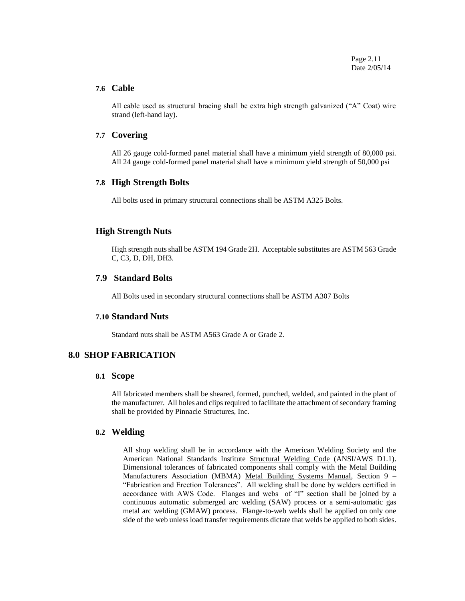Page 2.11 Date 2/05/14

#### **7.6 Cable**

All cable used as structural bracing shall be extra high strength galvanized ("A" Coat) wire strand (left-hand lay).

#### **7.7 Covering**

All 26 gauge cold-formed panel material shall have a minimum yield strength of 80,000 psi. All 24 gauge cold-formed panel material shall have a minimum yield strength of 50,000 psi

#### **7.8 High Strength Bolts**

All bolts used in primary structural connections shall be ASTM A325 Bolts.

## **High Strength Nuts**

High strength nuts shall be ASTM 194 Grade 2H. Acceptable substitutes are ASTM 563 Grade C, C3, D, DH, DH3.

#### **7.9 Standard Bolts**

All Bolts used in secondary structural connections shall be ASTM A307 Bolts

## **7.10 Standard Nuts**

Standard nuts shall be ASTM A563 Grade A or Grade 2.

## **8.0 SHOP FABRICATION**

#### **8.1 Scope**

All fabricated members shall be sheared, formed, punched, welded, and painted in the plant of the manufacturer. All holes and clips required to facilitate the attachment of secondary framing shall be provided by Pinnacle Structures, Inc.

## **8.2 Welding**

All shop welding shall be in accordance with the American Welding Society and the American National Standards Institute Structural Welding Code (ANSI/AWS D1.1). Dimensional tolerances of fabricated components shall comply with the Metal Building Manufacturers Association (MBMA) Metal Building Systems Manual, Section 9 -"Fabrication and Erection Tolerances". All welding shall be done by welders certified in accordance with AWS Code. Flanges and webs of "I" section shall be joined by a continuous automatic submerged arc welding (SAW) process or a semi-automatic gas metal arc welding (GMAW) process. Flange-to-web welds shall be applied on only one side of the web unless load transfer requirements dictate that welds be applied to both sides.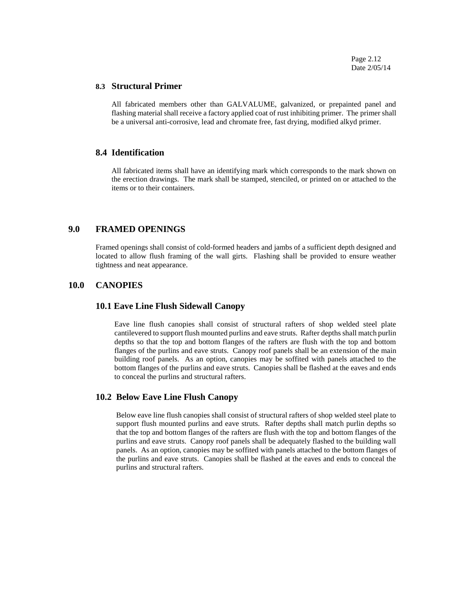Page 2.12 Date 2/05/14

#### **8.3 Structural Primer**

All fabricated members other than GALVALUME, galvanized, or prepainted panel and flashing material shall receive a factory applied coat of rust inhibiting primer. The primer shall be a universal anti-corrosive, lead and chromate free, fast drying, modified alkyd primer.

#### **8.4 Identification**

All fabricated items shall have an identifying mark which corresponds to the mark shown on the erection drawings. The mark shall be stamped, stenciled, or printed on or attached to the items or to their containers.

### **9.0 FRAMED OPENINGS**

Framed openings shall consist of cold-formed headers and jambs of a sufficient depth designed and located to allow flush framing of the wall girts. Flashing shall be provided to ensure weather tightness and neat appearance.

### **10.0 CANOPIES**

#### **10.1 Eave Line Flush Sidewall Canopy**

Eave line flush canopies shall consist of structural rafters of shop welded steel plate cantilevered to support flush mounted purlins and eave struts. Rafter depths shall match purlin depths so that the top and bottom flanges of the rafters are flush with the top and bottom flanges of the purlins and eave struts. Canopy roof panels shall be an extension of the main building roof panels. As an option, canopies may be soffited with panels attached to the bottom flanges of the purlins and eave struts. Canopies shall be flashed at the eaves and ends to conceal the purlins and structural rafters.

### **10.2 Below Eave Line Flush Canopy**

Below eave line flush canopies shall consist of structural rafters of shop welded steel plate to support flush mounted purlins and eave struts. Rafter depths shall match purlin depths so that the top and bottom flanges of the rafters are flush with the top and bottom flanges of the purlins and eave struts. Canopy roof panels shall be adequately flashed to the building wall panels. As an option, canopies may be soffited with panels attached to the bottom flanges of the purlins and eave struts. Canopies shall be flashed at the eaves and ends to conceal the purlins and structural rafters.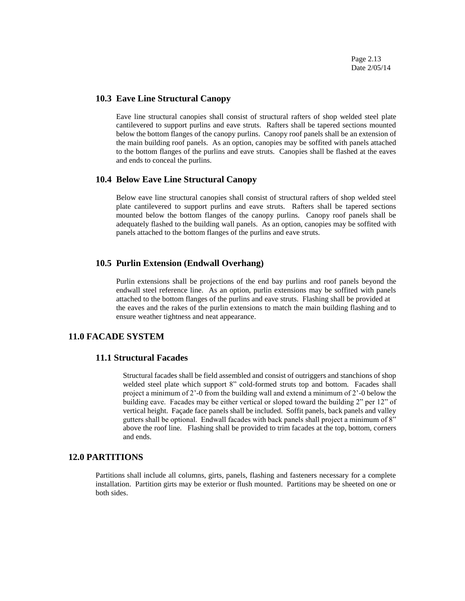### **10.3 Eave Line Structural Canopy**

Eave line structural canopies shall consist of structural rafters of shop welded steel plate cantilevered to support purlins and eave struts. Rafters shall be tapered sections mounted below the bottom flanges of the canopy purlins. Canopy roof panels shall be an extension of the main building roof panels. As an option, canopies may be soffited with panels attached to the bottom flanges of the purlins and eave struts. Canopies shall be flashed at the eaves and ends to conceal the purlins.

#### **10.4 Below Eave Line Structural Canopy**

Below eave line structural canopies shall consist of structural rafters of shop welded steel plate cantilevered to support purlins and eave struts. Rafters shall be tapered sections mounted below the bottom flanges of the canopy purlins. Canopy roof panels shall be adequately flashed to the building wall panels. As an option, canopies may be soffited with panels attached to the bottom flanges of the purlins and eave struts.

## **10.5 Purlin Extension (Endwall Overhang)**

Purlin extensions shall be projections of the end bay purlins and roof panels beyond the endwall steel reference line. As an option, purlin extensions may be soffited with panels attached to the bottom flanges of the purlins and eave struts. Flashing shall be provided at the eaves and the rakes of the purlin extensions to match the main building flashing and to ensure weather tightness and neat appearance.

## **11.0 FACADE SYSTEM**

## **11.1 Structural Facades**

Structural facades shall be field assembled and consist of outriggers and stanchions of shop welded steel plate which support 8" cold-formed struts top and bottom. Facades shall project a minimum of 2'-0 from the building wall and extend a minimum of 2'-0 below the building eave. Facades may be either vertical or sloped toward the building 2" per 12" of vertical height. Façade face panels shall be included. Soffit panels, back panels and valley gutters shall be optional. Endwall facades with back panels shall project a minimum of 8" above the roof line. Flashing shall be provided to trim facades at the top, bottom, corners and ends.

#### **12.0 PARTITIONS**

Partitions shall include all columns, girts, panels, flashing and fasteners necessary for a complete installation. Partition girts may be exterior or flush mounted. Partitions may be sheeted on one or both sides.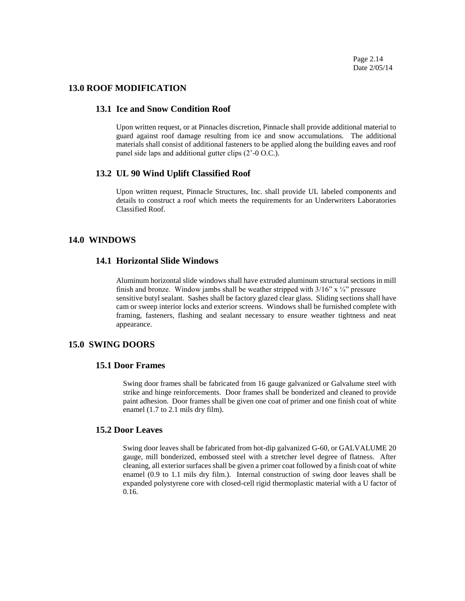Page 2.14 Date 2/05/14

### **13.0 ROOF MODIFICATION**

## **13.1 Ice and Snow Condition Roof**

Upon written request, or at Pinnacles discretion, Pinnacle shall provide additional material to guard against roof damage resulting from ice and snow accumulations. The additional materials shall consist of additional fasteners to be applied along the building eaves and roof panel side laps and additional gutter clips (2'-0 O.C.).

#### **13.2 UL 90 Wind Uplift Classified Roof**

Upon written request, Pinnacle Structures, Inc. shall provide UL labeled components and details to construct a roof which meets the requirements for an Underwriters Laboratories Classified Roof.

## **14.0 WINDOWS**

## **14.1 Horizontal Slide Windows**

Aluminum horizontal slide windows shall have extruded aluminum structural sections in mill finish and bronze. Window jambs shall be weather stripped with  $3/16$ " x  $\frac{1}{4}$ " pressure sensitive butyl sealant. Sashes shall be factory glazed clear glass. Sliding sections shall have cam or sweep interior locks and exterior screens. Windows shall be furnished complete with framing, fasteners, flashing and sealant necessary to ensure weather tightness and neat appearance.

## **15.0 SWING DOORS**

#### **15.1 Door Frames**

Swing door frames shall be fabricated from 16 gauge galvanized or Galvalume steel with strike and hinge reinforcements. Door frames shall be bonderized and cleaned to provide paint adhesion. Door frames shall be given one coat of primer and one finish coat of white enamel (1.7 to 2.1 mils dry film).

#### **15.2 Door Leaves**

Swing door leaves shall be fabricated from hot-dip galvanized G-60, or GALVALUME 20 gauge, mill bonderized, embossed steel with a stretcher level degree of flatness. After cleaning, all exterior surfaces shall be given a primer coat followed by a finish coat of white enamel (0.9 to 1.1 mils dry film.). Internal construction of swing door leaves shall be expanded polystyrene core with closed-cell rigid thermoplastic material with a U factor of 0.16.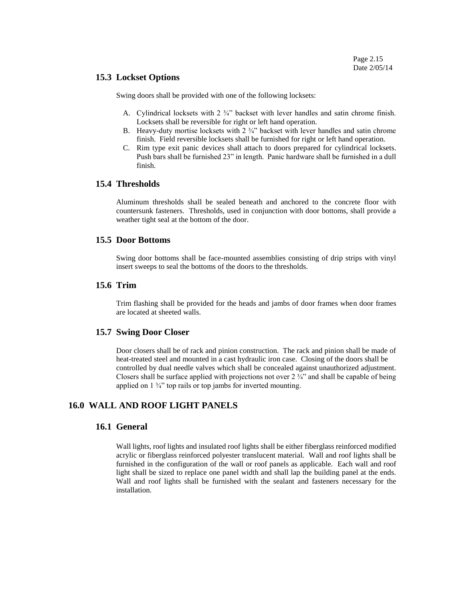#### **15.3 Lockset Options**

Swing doors shall be provided with one of the following locksets:

- A. Cylindrical locksets with 2 <sup>3</sup>/<sub>4</sub>" backset with lever handles and satin chrome finish. Locksets shall be reversible for right or left hand operation.
- B. Heavy-duty mortise locksets with  $2 \frac{3}{4}$  backset with lever handles and satin chrome finish. Field reversible locksets shall be furnished for right or left hand operation.
- C. Rim type exit panic devices shall attach to doors prepared for cylindrical locksets. Push bars shall be furnished 23" in length. Panic hardware shall be furnished in a dull finish.

#### **15.4 Thresholds**

Aluminum thresholds shall be sealed beneath and anchored to the concrete floor with countersunk fasteners. Thresholds, used in conjunction with door bottoms, shall provide a weather tight seal at the bottom of the door.

## **15.5 Door Bottoms**

Swing door bottoms shall be face-mounted assemblies consisting of drip strips with vinyl insert sweeps to seal the bottoms of the doors to the thresholds.

### **15.6 Trim**

Trim flashing shall be provided for the heads and jambs of door frames when door frames are located at sheeted walls.

#### **15.7 Swing Door Closer**

Door closers shall be of rack and pinion construction. The rack and pinion shall be made of heat-treated steel and mounted in a cast hydraulic iron case. Closing of the doors shall be controlled by dual needle valves which shall be concealed against unauthorized adjustment. Closers shall be surface applied with projections not over  $2 \frac{3}{4}$  and shall be capable of being applied on  $1 \frac{3}{4}$  top rails or top jambs for inverted mounting.

## **16.0 WALL AND ROOF LIGHT PANELS**

#### **16.1 General**

Wall lights, roof lights and insulated roof lights shall be either fiberglass reinforced modified acrylic or fiberglass reinforced polyester translucent material. Wall and roof lights shall be furnished in the configuration of the wall or roof panels as applicable. Each wall and roof light shall be sized to replace one panel width and shall lap the building panel at the ends. Wall and roof lights shall be furnished with the sealant and fasteners necessary for the installation.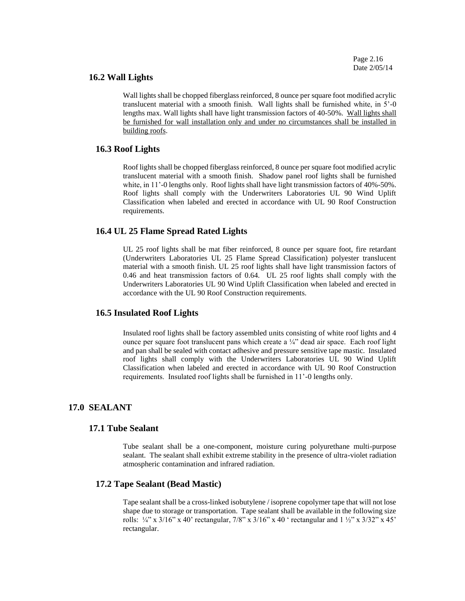#### **16.2 Wall Lights**

Wall lights shall be chopped fiberglass reinforced, 8 ounce per square foot modified acrylic translucent material with a smooth finish. Wall lights shall be furnished white, in 5'-0 lengths max. Wall lights shall have light transmission factors of 40-50%. Wall lights shall be furnished for wall installation only and under no circumstances shall be installed in building roofs.

#### **16.3 Roof Lights**

Roof lights shall be chopped fiberglass reinforced, 8 ounce per square foot modified acrylic translucent material with a smooth finish. Shadow panel roof lights shall be furnished white, in 11'-0 lengths only. Roof lights shall have light transmission factors of 40%-50%. Roof lights shall comply with the Underwriters Laboratories UL 90 Wind Uplift Classification when labeled and erected in accordance with UL 90 Roof Construction requirements.

## **16.4 UL 25 Flame Spread Rated Lights**

UL 25 roof lights shall be mat fiber reinforced, 8 ounce per square foot, fire retardant (Underwriters Laboratories UL 25 Flame Spread Classification) polyester translucent material with a smooth finish. UL 25 roof lights shall have light transmission factors of 0.46 and heat transmission factors of 0.64. UL 25 roof lights shall comply with the Underwriters Laboratories UL 90 Wind Uplift Classification when labeled and erected in accordance with the UL 90 Roof Construction requirements.

## **16.5 Insulated Roof Lights**

Insulated roof lights shall be factory assembled units consisting of white roof lights and 4 ounce per square foot translucent pans which create a ¼" dead air space. Each roof light and pan shall be sealed with contact adhesive and pressure sensitive tape mastic. Insulated roof lights shall comply with the Underwriters Laboratories UL 90 Wind Uplift Classification when labeled and erected in accordance with UL 90 Roof Construction requirements. Insulated roof lights shall be furnished in 11'-0 lengths only.

#### **17.0 SEALANT**

## **17.1 Tube Sealant**

Tube sealant shall be a one-component, moisture curing polyurethane multi-purpose sealant. The sealant shall exhibit extreme stability in the presence of ultra-violet radiation atmospheric contamination and infrared radiation.

#### **17.2 Tape Sealant (Bead Mastic)**

Tape sealant shall be a cross-linked isobutylene / isoprene copolymer tape that will not lose shape due to storage or transportation. Tape sealant shall be available in the following size rolls:  $\frac{1}{2}$ " x 3/16" x 40' rectangular, 7/8" x 3/16" x 40 ' rectangular and  $\frac{1}{2}$ " x 3/32" x 45' rectangular.